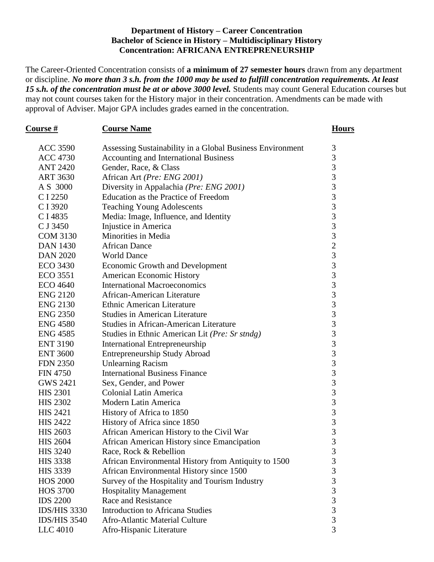## **Department of History – Career Concentration Bachelor of Science in History – Multidisciplinary History Concentration: AFRICANA ENTREPRENEURSHIP**

The Career-Oriented Concentration consists of **a minimum of 27 semester hours** drawn from any department or discipline. *No more than 3 s.h. from the 1000 may be used to fulfill concentration requirements. At least 15 s.h. of the concentration must be at or above 3000 level.* Students may count General Education courses but may not count courses taken for the History major in their concentration. Amendments can be made with approval of Adviser. Major GPA includes grades earned in the concentration.

| Course#             | <b>Course Name</b>                                        |                                            |
|---------------------|-----------------------------------------------------------|--------------------------------------------|
| <b>ACC 3590</b>     | Assessing Sustainability in a Global Business Environment | 3                                          |
| <b>ACC 4730</b>     | Accounting and International Business                     | 3                                          |
| <b>ANT 2420</b>     | Gender, Race, & Class                                     | 3                                          |
| <b>ART 3630</b>     | African Art (Pre: ENG 2001)                               | $\overline{3}$                             |
| A S 3000            | Diversity in Appalachia (Pre: ENG 2001)                   | $\overline{3}$                             |
| C I 2250            | Education as the Practice of Freedom                      | $\overline{3}$                             |
| C I 3920            | <b>Teaching Young Adolescents</b>                         | $\overline{3}$                             |
| C I 4835            | Media: Image, Influence, and Identity                     | $\frac{3}{3}$                              |
| C J 3450            | Injustice in America                                      |                                            |
| <b>COM 3130</b>     | Minorities in Media                                       | $\overline{3}$                             |
| <b>DAN 1430</b>     | <b>African Dance</b>                                      | $\overline{c}$                             |
| <b>DAN 2020</b>     | <b>World Dance</b>                                        | 3                                          |
| <b>ECO 3430</b>     | <b>Economic Growth and Development</b>                    |                                            |
| <b>ECO</b> 3551     | <b>American Economic History</b>                          | $\frac{3}{3}$                              |
| <b>ECO 4640</b>     | <b>International Macroeconomics</b>                       | $\overline{3}$                             |
| <b>ENG 2120</b>     | African-American Literature                               | $\overline{3}$                             |
| <b>ENG 2130</b>     | Ethnic American Literature                                | $\overline{3}$                             |
| <b>ENG 2350</b>     | <b>Studies in American Literature</b>                     | $\frac{3}{3}$                              |
| <b>ENG 4580</b>     | <b>Studies in African-American Literature</b>             |                                            |
| <b>ENG 4585</b>     | Studies in Ethnic American Lit (Pre: Sr stndg)            | $\overline{3}$                             |
| <b>ENT 3190</b>     | <b>International Entrepreneurship</b>                     | $\frac{3}{3}$                              |
| <b>ENT 3600</b>     | <b>Entrepreneurship Study Abroad</b>                      |                                            |
| <b>FDN 2350</b>     | <b>Unlearning Racism</b>                                  | 3                                          |
| <b>FIN 4750</b>     | <b>International Business Finance</b>                     | $\overline{3}$                             |
| <b>GWS 2421</b>     | Sex, Gender, and Power                                    | $\overline{3}$                             |
| <b>HIS 2301</b>     | <b>Colonial Latin America</b>                             | $\overline{3}$                             |
| <b>HIS 2302</b>     | Modern Latin America                                      |                                            |
| <b>HIS 2421</b>     | History of Africa to 1850                                 | $\begin{array}{c} 3 \\ 3 \\ 3 \end{array}$ |
| <b>HIS 2422</b>     | History of Africa since 1850                              |                                            |
| <b>HIS 2603</b>     | African American History to the Civil War                 | 3                                          |
| <b>HIS 2604</b>     | African American History since Emancipation               | 3                                          |
| <b>HIS 3240</b>     | Race, Rock & Rebellion                                    | 3                                          |
| <b>HIS 3338</b>     | African Environmental History from Antiquity to 1500      |                                            |
| <b>HIS 3339</b>     | African Environmental History since 1500                  | $\frac{3}{3}$                              |
| <b>HOS 2000</b>     | Survey of the Hospitality and Tourism Industry            | $\overline{3}$                             |
| <b>HOS 3700</b>     | <b>Hospitality Management</b>                             | 3                                          |
| <b>IDS 2200</b>     | <b>Race and Resistance</b>                                | $\overline{\mathbf{3}}$                    |
| <b>IDS/HIS 3330</b> | <b>Introduction to Africana Studies</b>                   | $\overline{3}$                             |
| <b>IDS/HIS 3540</b> | Afro-Atlantic Material Culture                            | $\overline{3}$                             |
| LLC 4010            | Afro-Hispanic Literature                                  | 3                                          |